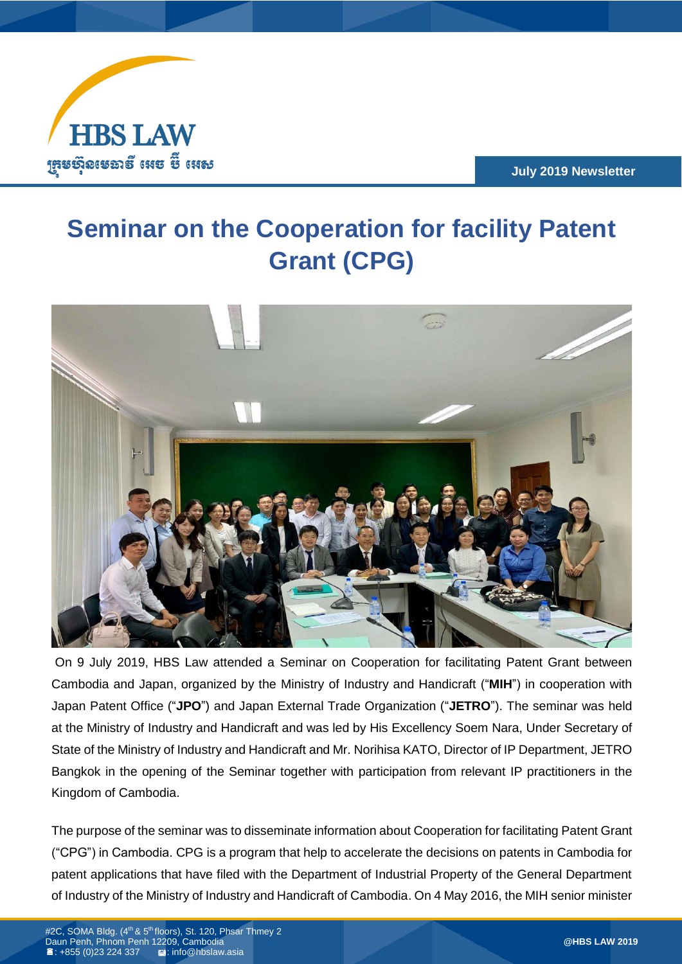

**July 2019 Newsletter**

## **Seminar on the Cooperation for facility Patent Grant (CPG)**



On 9 July 2019, HBS Law attended a Seminar on Cooperation for facilitating Patent Grant between Cambodia and Japan, organized by the Ministry of Industry and Handicraft ("**MIH**") in cooperation with Japan Patent Office ("**JPO**") and Japan External Trade Organization ("**JETRO**"). The seminar was held at the Ministry of Industry and Handicraft and was led by His Excellency Soem Nara, Under Secretary of State of the Ministry of Industry and Handicraft and Mr. Norihisa KATO, Director of IP Department, JETRO Bangkok in the opening of the Seminar together with participation from relevant IP practitioners in the Kingdom of Cambodia.

The purpose of the seminar was to disseminate information about Cooperation for facilitating Patent Grant ("CPG") in Cambodia. CPG is a program that help to accelerate the decisions on patents in Cambodia for patent applications that have filed with the Department of Industrial Property of the General Department of Industry of the Ministry of Industry and Handicraft of Cambodia. On 4 May 2016, the MIH senior minister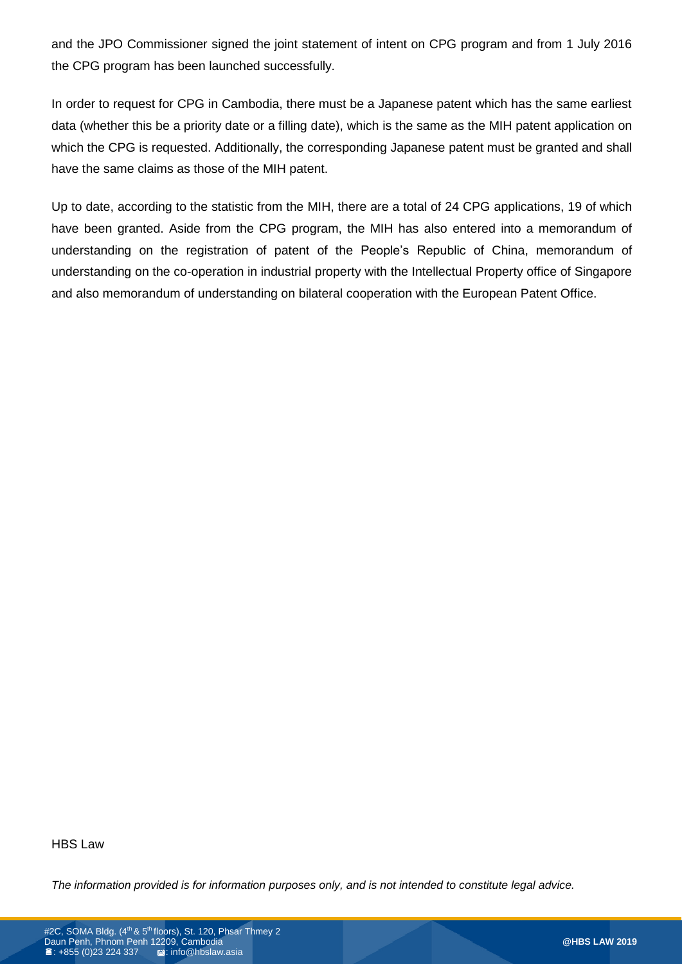and the JPO Commissioner signed the joint statement of intent on CPG program and from 1 July 2016 the CPG program has been launched successfully.

In order to request for CPG in Cambodia, there must be a Japanese patent which has the same earliest data (whether this be a priority date or a filling date), which is the same as the MIH patent application on which the CPG is requested. Additionally, the corresponding Japanese patent must be granted and shall have the same claims as those of the MIH patent.

Up to date, according to the statistic from the MIH, there are a total of 24 CPG applications, 19 of which have been granted. Aside from the CPG program, the MIH has also entered into a memorandum of understanding on the registration of patent of the People's Republic of China, memorandum of understanding on the co-operation in industrial property with the Intellectual Property office of Singapore and also memorandum of understanding on bilateral cooperation with the European Patent Office.

HBS Law

*The information provided is for information purposes only, and is not intended to constitute legal advice.*